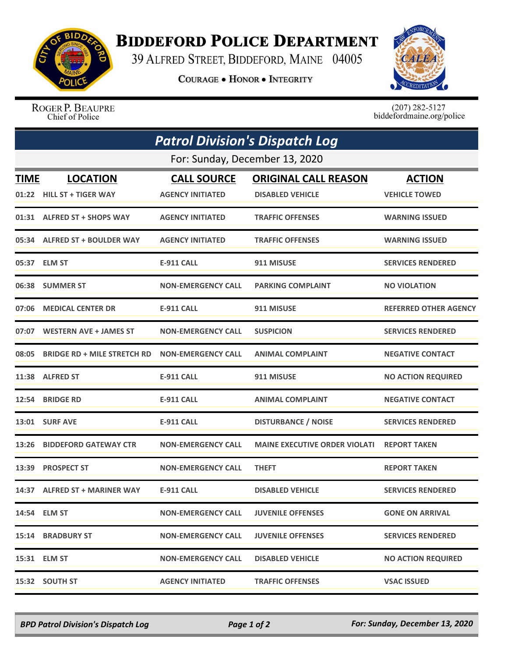

## **BIDDEFORD POLICE DEPARTMENT**

39 ALFRED STREET, BIDDEFORD, MAINE 04005

**COURAGE . HONOR . INTEGRITY** 



ROGER P. BEAUPRE Chief of Police

 $(207)$  282-5127<br>biddefordmaine.org/police

| <b>Patrol Division's Dispatch Log</b><br>For: Sunday, December 13, 2020 |                                    |                           |                                      |                              |  |  |
|-------------------------------------------------------------------------|------------------------------------|---------------------------|--------------------------------------|------------------------------|--|--|
|                                                                         |                                    |                           |                                      |                              |  |  |
|                                                                         | 01:22 HILL ST + TIGER WAY          | <b>AGENCY INITIATED</b>   | <b>DISABLED VEHICLE</b>              | <b>VEHICLE TOWED</b>         |  |  |
|                                                                         | 01:31 ALFRED ST + SHOPS WAY        | <b>AGENCY INITIATED</b>   | <b>TRAFFIC OFFENSES</b>              | <b>WARNING ISSUED</b>        |  |  |
| 05:34                                                                   | <b>ALFRED ST + BOULDER WAY</b>     | <b>AGENCY INITIATED</b>   | <b>TRAFFIC OFFENSES</b>              | <b>WARNING ISSUED</b>        |  |  |
|                                                                         | 05:37 ELM ST                       | <b>E-911 CALL</b>         | 911 MISUSE                           | <b>SERVICES RENDERED</b>     |  |  |
|                                                                         | 06:38 SUMMER ST                    | <b>NON-EMERGENCY CALL</b> | <b>PARKING COMPLAINT</b>             | <b>NO VIOLATION</b>          |  |  |
| 07:06                                                                   | <b>MEDICAL CENTER DR</b>           | <b>E-911 CALL</b>         | 911 MISUSE                           | <b>REFERRED OTHER AGENCY</b> |  |  |
| 07:07                                                                   | <b>WESTERN AVE + JAMES ST</b>      | <b>NON-EMERGENCY CALL</b> | <b>SUSPICION</b>                     | <b>SERVICES RENDERED</b>     |  |  |
| 08:05                                                                   | <b>BRIDGE RD + MILE STRETCH RD</b> | <b>NON-EMERGENCY CALL</b> | <b>ANIMAL COMPLAINT</b>              | <b>NEGATIVE CONTACT</b>      |  |  |
|                                                                         | 11:38 ALFRED ST                    | <b>E-911 CALL</b>         | 911 MISUSE                           | <b>NO ACTION REQUIRED</b>    |  |  |
| 12:54                                                                   | <b>BRIDGE RD</b>                   | <b>E-911 CALL</b>         | <b>ANIMAL COMPLAINT</b>              | <b>NEGATIVE CONTACT</b>      |  |  |
|                                                                         | <b>13:01 SURF AVE</b>              | <b>E-911 CALL</b>         | <b>DISTURBANCE / NOISE</b>           | <b>SERVICES RENDERED</b>     |  |  |
| 13:26                                                                   | <b>BIDDEFORD GATEWAY CTR</b>       | <b>NON-EMERGENCY CALL</b> | <b>MAINE EXECUTIVE ORDER VIOLATI</b> | <b>REPORT TAKEN</b>          |  |  |
| 13:39                                                                   | <b>PROSPECT ST</b>                 | <b>NON-EMERGENCY CALL</b> | <b>THEFT</b>                         | <b>REPORT TAKEN</b>          |  |  |
| 14:37                                                                   | <b>ALFRED ST + MARINER WAY</b>     | <b>E-911 CALL</b>         | <b>DISABLED VEHICLE</b>              | <b>SERVICES RENDERED</b>     |  |  |
|                                                                         | 14:54 ELM ST                       | <b>NON-EMERGENCY CALL</b> | <b>JUVENILE OFFENSES</b>             | <b>GONE ON ARRIVAL</b>       |  |  |
|                                                                         | 15:14 BRADBURY ST                  | <b>NON-EMERGENCY CALL</b> | <b>JUVENILE OFFENSES</b>             | <b>SERVICES RENDERED</b>     |  |  |
|                                                                         | 15:31 ELM ST                       | <b>NON-EMERGENCY CALL</b> | <b>DISABLED VEHICLE</b>              | <b>NO ACTION REQUIRED</b>    |  |  |
|                                                                         | 15:32 SOUTH ST                     | <b>AGENCY INITIATED</b>   | <b>TRAFFIC OFFENSES</b>              | <b>VSAC ISSUED</b>           |  |  |